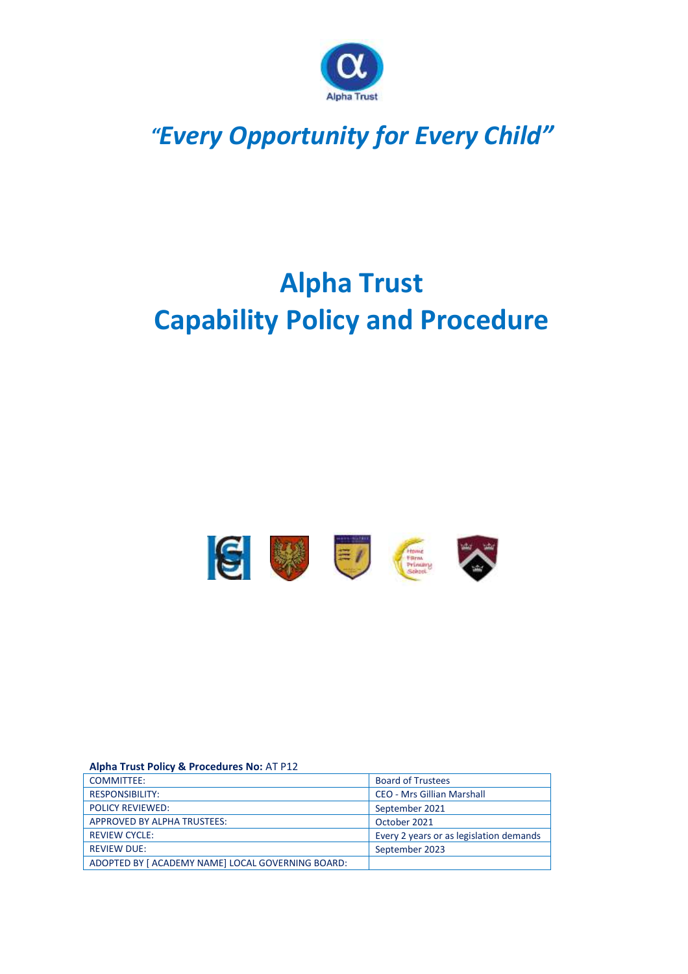

## *"Every Opportunity for Every Child"*

# **Alpha Trust Capability Policy and Procedure**



#### **Alpha Trust Policy & Procedures No:** AT P12

| <b>COMMITTEE:</b>                                 | <b>Board of Trustees</b>                |
|---------------------------------------------------|-----------------------------------------|
| <b>RESPONSIBILITY:</b>                            | <b>CEO - Mrs Gillian Marshall</b>       |
| <b>POLICY REVIEWED:</b>                           | September 2021                          |
| APPROVED BY ALPHA TRUSTEES:                       | October 2021                            |
| <b>REVIEW CYCLE:</b>                              | Every 2 years or as legislation demands |
| <b>REVIEW DUE:</b>                                | September 2023                          |
| ADOPTED BY [ ACADEMY NAME] LOCAL GOVERNING BOARD: |                                         |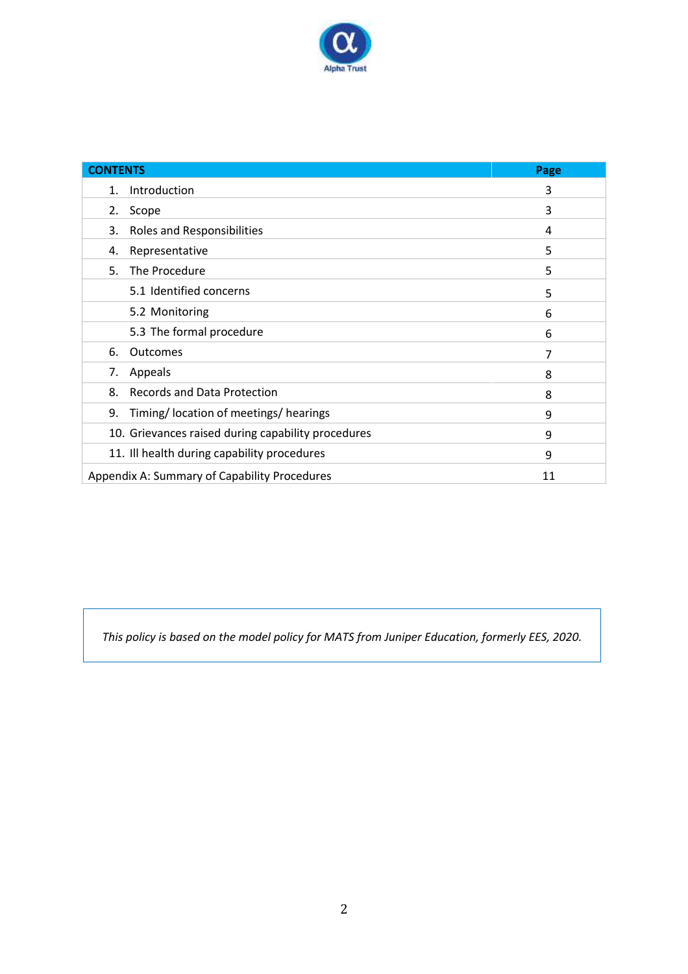

| <b>CONTENTS</b>                                    | Page |
|----------------------------------------------------|------|
| Introduction<br>1.                                 | 3    |
| 2.<br>Scope                                        | 3    |
| Roles and Responsibilities<br>3.                   | 4    |
| Representative<br>4.                               | 5    |
| 5.<br>The Procedure                                | 5    |
| 5.1 Identified concerns                            | 5    |
| 5.2 Monitoring                                     | 6    |
| 5.3 The formal procedure                           | 6    |
| 6.<br>Outcomes                                     | 7    |
| 7.<br>Appeals                                      | 8    |
| Records and Data Protection<br>8.                  | 8    |
| Timing/Iocation of meetings/hearings<br>9.         | 9    |
| 10. Grievances raised during capability procedures | 9    |
| 11. Ill health during capability procedures        | 9    |
| Appendix A: Summary of Capability Procedures       | 11   |

*This policy is based on the model policy for MATS from Juniper Education, formerly EES, 2020.*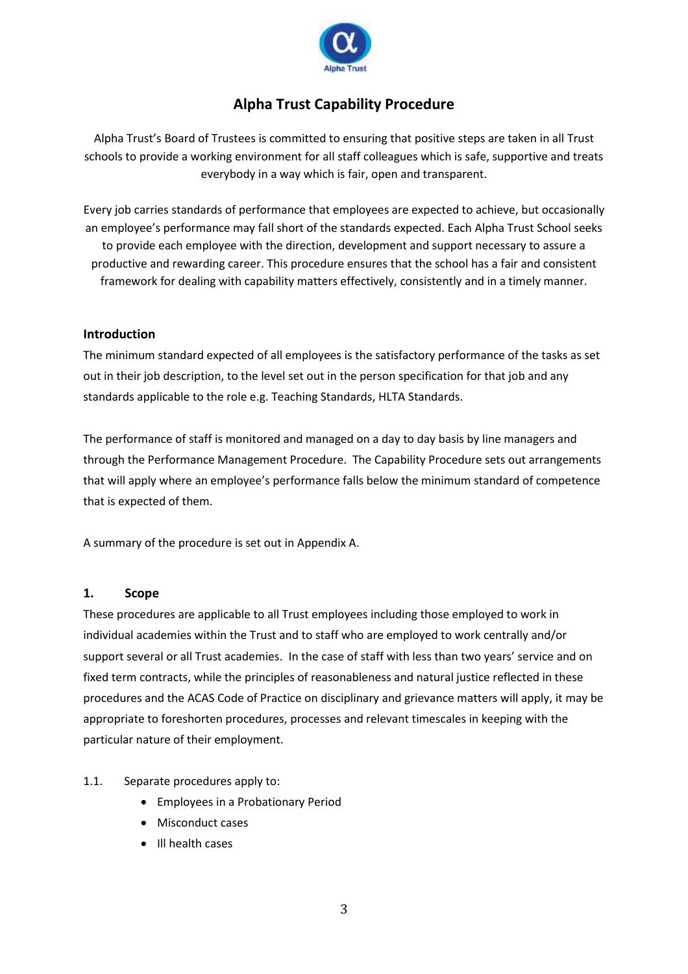

### **Alpha Trust Capability Procedure**

Alpha Trust's Board of Trustees is committed to ensuring that positive steps are taken in all Trust schools to provide a working environment for all staff colleagues which is safe, supportive and treats everybody in a way which is fair, open and transparent.

Every job carries standards of performance that employees are expected to achieve, but occasionally an employee's performance may fall short of the standards expected. Each Alpha Trust School seeks to provide each employee with the direction, development and support necessary to assure a productive and rewarding career. This procedure ensures that the school has a fair and consistent framework for dealing with capability matters effectively, consistently and in a timely manner.

#### **Introduction**

The minimum standard expected of all employees is the satisfactory performance of the tasks as set out in their job description, to the level set out in the person specification for that job and any standards applicable to the role e.g. Teaching Standards, HLTA Standards.

The performance of staff is monitored and managed on a day to day basis by line managers and through the Performance Management Procedure. The Capability Procedure sets out arrangements that will apply where an employee's performance falls below the minimum standard of competence that is expected of them.

A summary of the procedure is set out in Appendix A.

#### **1. Scope**

These procedures are applicable to all Trust employees including those employed to work in individual academies within the Trust and to staff who are employed to work centrally and/or support several or all Trust academies. In the case of staff with less than two years' service and on fixed term contracts, while the principles of reasonableness and natural justice reflected in these procedures and the ACAS Code of Practice on disciplinary and grievance matters will apply, it may be appropriate to foreshorten procedures, processes and relevant timescales in keeping with the particular nature of their employment.

#### 1.1. Separate procedures apply to:

- Employees in a Probationary Period
- Misconduct cases
- Ill health cases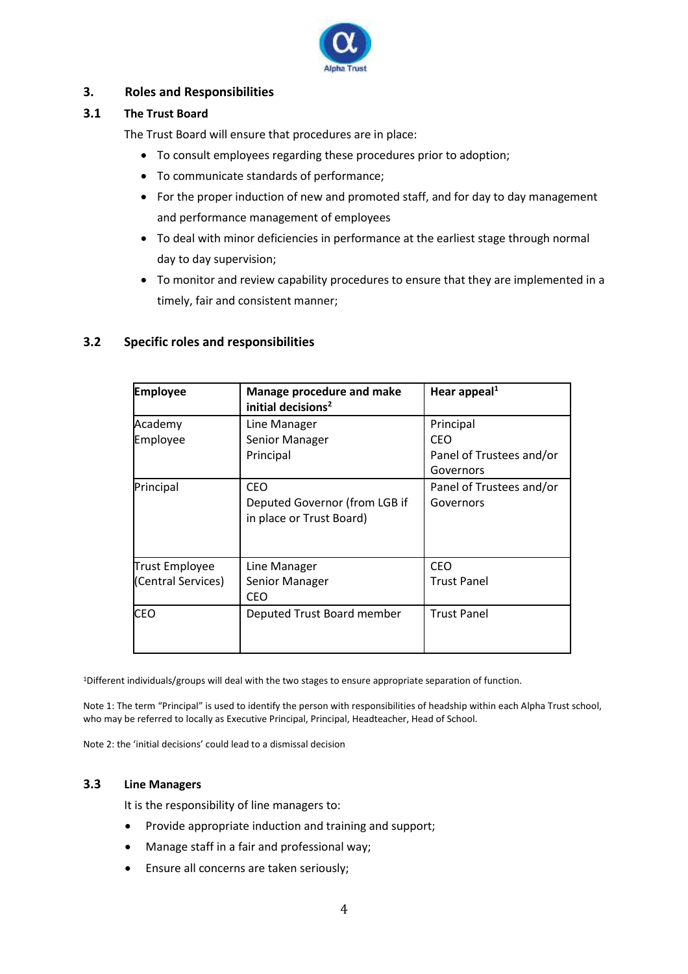

#### **3. Roles and Responsibilities**

#### **3.1 The Trust Board**

The Trust Board will ensure that procedures are in place:

- To consult employees regarding these procedures prior to adoption;
- To communicate standards of performance;
- For the proper induction of new and promoted staff, and for day to day management and performance management of employees
- To deal with minor deficiencies in performance at the earliest stage through normal day to day supervision;
- To monitor and review capability procedures to ensure that they are implemented in a timely, fair and consistent manner;

#### **3.2 Specific roles and responsibilities**

| <b>Employee</b>                             | Manage procedure and make<br>initial decisions <sup>2</sup>             | Hear appeal $1$                                           |
|---------------------------------------------|-------------------------------------------------------------------------|-----------------------------------------------------------|
| Academy<br>Employee                         | Line Manager<br>Senior Manager<br>Principal                             | Principal<br>CEO<br>Panel of Trustees and/or<br>Governors |
| Principal                                   | <b>CEO</b><br>Deputed Governor (from LGB if<br>in place or Trust Board) | Panel of Trustees and/or<br>Governors                     |
| <b>Trust Employee</b><br>(Central Services) | Line Manager<br>Senior Manager<br><b>CEO</b>                            | <b>CEO</b><br><b>Trust Panel</b>                          |
| <b>CEO</b>                                  | Deputed Trust Board member                                              | <b>Trust Panel</b>                                        |

<sup>1</sup>Different individuals/groups will deal with the two stages to ensure appropriate separation of function.

Note 1: The term "Principal" is used to identify the person with responsibilities of headship within each Alpha Trust school, who may be referred to locally as Executive Principal, Principal, Headteacher, Head of School.

Note 2: the 'initial decisions' could lead to a dismissal decision

#### **3.3 Line Managers**

It is the responsibility of line managers to:

- Provide appropriate induction and training and support;
- Manage staff in a fair and professional way;
- Ensure all concerns are taken seriously;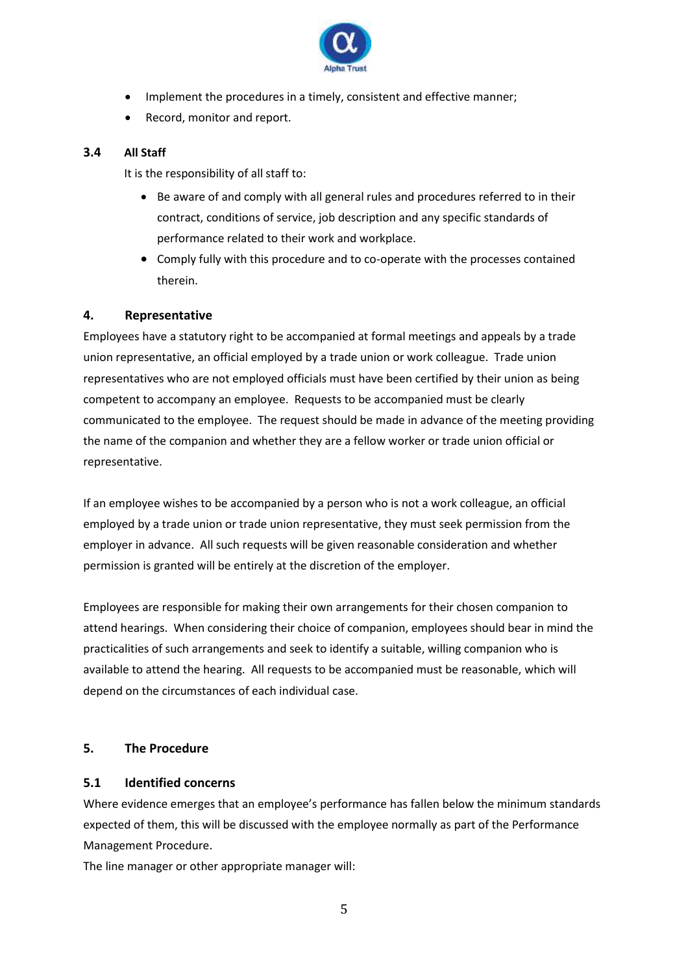

- Implement the procedures in a timely, consistent and effective manner;
- Record, monitor and report.

#### **3.4 All Staff**

It is the responsibility of all staff to:

- Be aware of and comply with all general rules and procedures referred to in their contract, conditions of service, job description and any specific standards of performance related to their work and workplace.
- Comply fully with this procedure and to co-operate with the processes contained therein.

#### **4. Representative**

Employees have a statutory right to be accompanied at formal meetings and appeals by a trade union representative, an official employed by a trade union or work colleague. Trade union representatives who are not employed officials must have been certified by their union as being competent to accompany an employee. Requests to be accompanied must be clearly communicated to the employee. The request should be made in advance of the meeting providing the name of the companion and whether they are a fellow worker or trade union official or representative.

If an employee wishes to be accompanied by a person who is not a work colleague, an official employed by a trade union or trade union representative, they must seek permission from the employer in advance. All such requests will be given reasonable consideration and whether permission is granted will be entirely at the discretion of the employer.

Employees are responsible for making their own arrangements for their chosen companion to attend hearings. When considering their choice of companion, employees should bear in mind the practicalities of such arrangements and seek to identify a suitable, willing companion who is available to attend the hearing. All requests to be accompanied must be reasonable, which will depend on the circumstances of each individual case.

#### **5. The Procedure**

#### **5.1 Identified concerns**

Where evidence emerges that an employee's performance has fallen below the minimum standards expected of them, this will be discussed with the employee normally as part of the Performance Management Procedure.

The line manager or other appropriate manager will: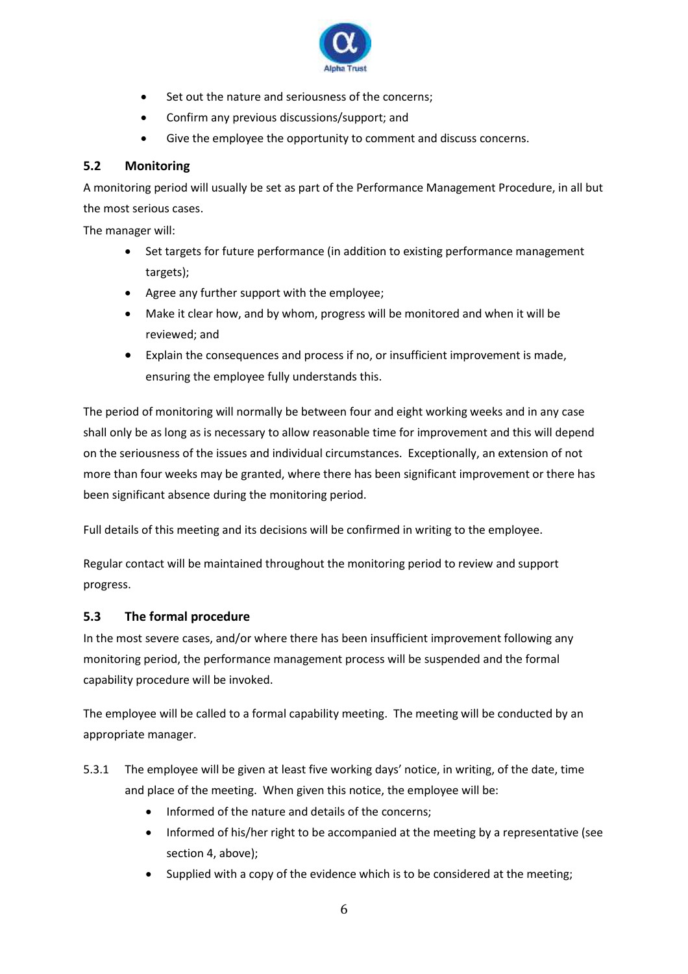

- Set out the nature and seriousness of the concerns;
- Confirm any previous discussions/support; and
- Give the employee the opportunity to comment and discuss concerns.

#### **5.2 Monitoring**

A monitoring period will usually be set as part of the Performance Management Procedure, in all but the most serious cases.

The manager will:

- Set targets for future performance (in addition to existing performance management targets);
- Agree any further support with the employee;
- Make it clear how, and by whom, progress will be monitored and when it will be reviewed; and
- Explain the consequences and process if no, or insufficient improvement is made, ensuring the employee fully understands this.

The period of monitoring will normally be between four and eight working weeks and in any case shall only be as long as is necessary to allow reasonable time for improvement and this will depend on the seriousness of the issues and individual circumstances. Exceptionally, an extension of not more than four weeks may be granted, where there has been significant improvement or there has been significant absence during the monitoring period.

Full details of this meeting and its decisions will be confirmed in writing to the employee.

Regular contact will be maintained throughout the monitoring period to review and support progress.

#### **5.3 The formal procedure**

In the most severe cases, and/or where there has been insufficient improvement following any monitoring period, the performance management process will be suspended and the formal capability procedure will be invoked.

The employee will be called to a formal capability meeting. The meeting will be conducted by an appropriate manager.

- 5.3.1 The employee will be given at least five working days' notice, in writing, of the date, time and place of the meeting. When given this notice, the employee will be:
	- Informed of the nature and details of the concerns;
	- Informed of his/her right to be accompanied at the meeting by a representative (see section 4, above);
	- Supplied with a copy of the evidence which is to be considered at the meeting;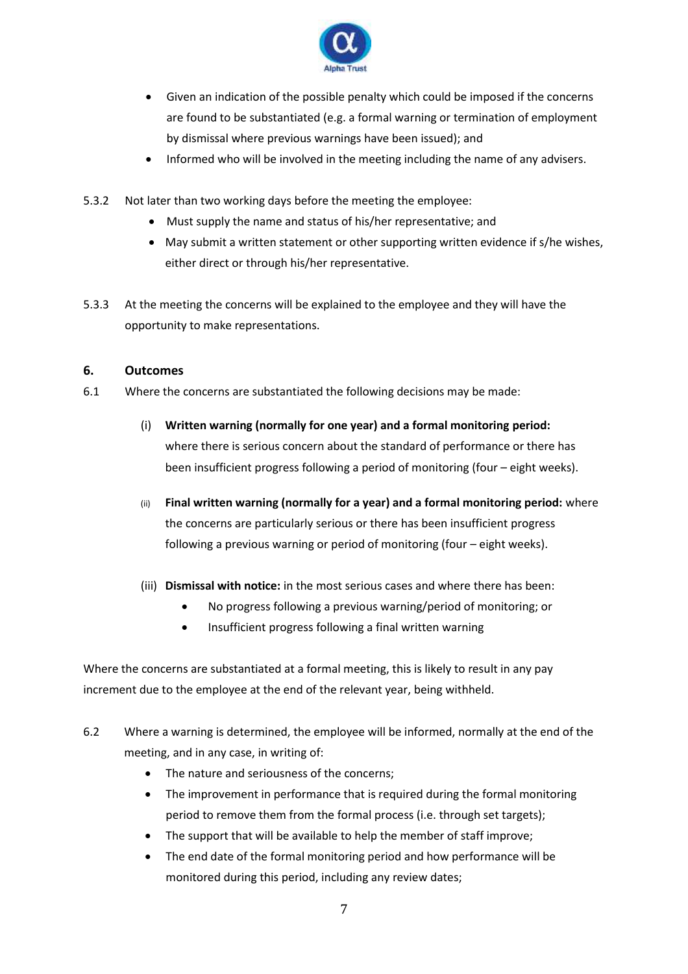

- Given an indication of the possible penalty which could be imposed if the concerns are found to be substantiated (e.g. a formal warning or termination of employment by dismissal where previous warnings have been issued); and
- Informed who will be involved in the meeting including the name of any advisers.
- 5.3.2 Not later than two working days before the meeting the employee:
	- Must supply the name and status of his/her representative; and
	- May submit a written statement or other supporting written evidence if s/he wishes, either direct or through his/her representative.
- 5.3.3 At the meeting the concerns will be explained to the employee and they will have the opportunity to make representations.

#### **6. Outcomes**

- 6.1 Where the concerns are substantiated the following decisions may be made:
	- (i) **Written warning (normally for one year) and a formal monitoring period:** where there is serious concern about the standard of performance or there has been insufficient progress following a period of monitoring (four – eight weeks).
	- (ii) **Final written warning (normally for a year) and a formal monitoring period:** where the concerns are particularly serious or there has been insufficient progress following a previous warning or period of monitoring (four – eight weeks).
	- (iii) **Dismissal with notice:** in the most serious cases and where there has been:
		- No progress following a previous warning/period of monitoring; or
		- Insufficient progress following a final written warning

Where the concerns are substantiated at a formal meeting, this is likely to result in any pay increment due to the employee at the end of the relevant year, being withheld.

- 6.2 Where a warning is determined, the employee will be informed, normally at the end of the meeting, and in any case, in writing of:
	- The nature and seriousness of the concerns;
	- The improvement in performance that is required during the formal monitoring period to remove them from the formal process (i.e. through set targets);
	- The support that will be available to help the member of staff improve;
	- The end date of the formal monitoring period and how performance will be monitored during this period, including any review dates;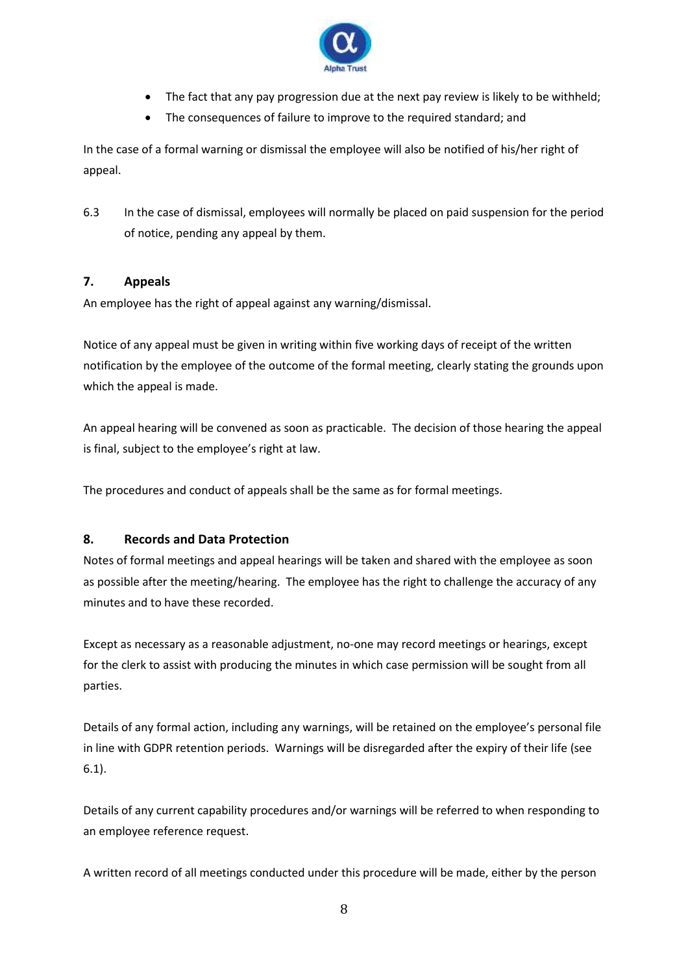

- The fact that any pay progression due at the next pay review is likely to be withheld;
- The consequences of failure to improve to the required standard; and

In the case of a formal warning or dismissal the employee will also be notified of his/her right of appeal.

6.3 In the case of dismissal, employees will normally be placed on paid suspension for the period of notice, pending any appeal by them.

#### **7. Appeals**

An employee has the right of appeal against any warning/dismissal.

Notice of any appeal must be given in writing within five working days of receipt of the written notification by the employee of the outcome of the formal meeting, clearly stating the grounds upon which the appeal is made.

An appeal hearing will be convened as soon as practicable. The decision of those hearing the appeal is final, subject to the employee's right at law.

The procedures and conduct of appeals shall be the same as for formal meetings.

#### **8. Records and Data Protection**

Notes of formal meetings and appeal hearings will be taken and shared with the employee as soon as possible after the meeting/hearing. The employee has the right to challenge the accuracy of any minutes and to have these recorded.

Except as necessary as a reasonable adjustment, no-one may record meetings or hearings, except for the clerk to assist with producing the minutes in which case permission will be sought from all parties.

Details of any formal action, including any warnings, will be retained on the employee's personal file in line with GDPR retention periods. Warnings will be disregarded after the expiry of their life (see 6.1).

Details of any current capability procedures and/or warnings will be referred to when responding to an employee reference request.

A written record of all meetings conducted under this procedure will be made, either by the person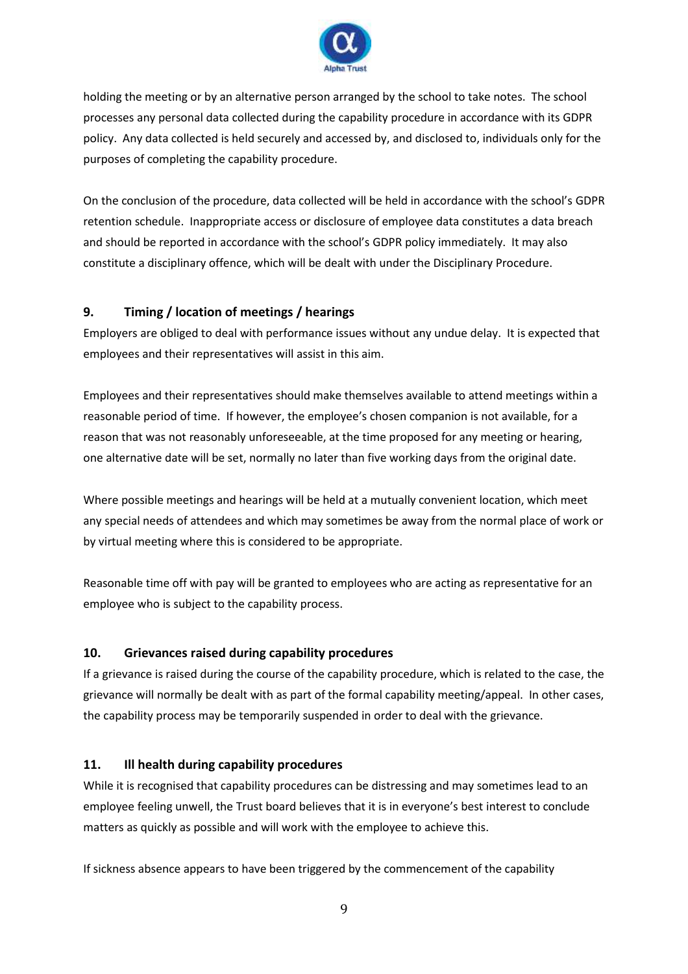

holding the meeting or by an alternative person arranged by the school to take notes. The school processes any personal data collected during the capability procedure in accordance with its GDPR policy. Any data collected is held securely and accessed by, and disclosed to, individuals only for the purposes of completing the capability procedure.

On the conclusion of the procedure, data collected will be held in accordance with the school's GDPR retention schedule. Inappropriate access or disclosure of employee data constitutes a data breach and should be reported in accordance with the school's GDPR policy immediately. It may also constitute a disciplinary offence, which will be dealt with under the Disciplinary Procedure.

#### **9. Timing / location of meetings / hearings**

Employers are obliged to deal with performance issues without any undue delay. It is expected that employees and their representatives will assist in this aim.

Employees and their representatives should make themselves available to attend meetings within a reasonable period of time. If however, the employee's chosen companion is not available, for a reason that was not reasonably unforeseeable, at the time proposed for any meeting or hearing, one alternative date will be set, normally no later than five working days from the original date.

Where possible meetings and hearings will be held at a mutually convenient location, which meet any special needs of attendees and which may sometimes be away from the normal place of work or by virtual meeting where this is considered to be appropriate.

Reasonable time off with pay will be granted to employees who are acting as representative for an employee who is subject to the capability process.

#### **10. Grievances raised during capability procedures**

If a grievance is raised during the course of the capability procedure, which is related to the case, the grievance will normally be dealt with as part of the formal capability meeting/appeal. In other cases, the capability process may be temporarily suspended in order to deal with the grievance.

#### **11. Ill health during capability procedures**

While it is recognised that capability procedures can be distressing and may sometimes lead to an employee feeling unwell, the Trust board believes that it is in everyone's best interest to conclude matters as quickly as possible and will work with the employee to achieve this.

If sickness absence appears to have been triggered by the commencement of the capability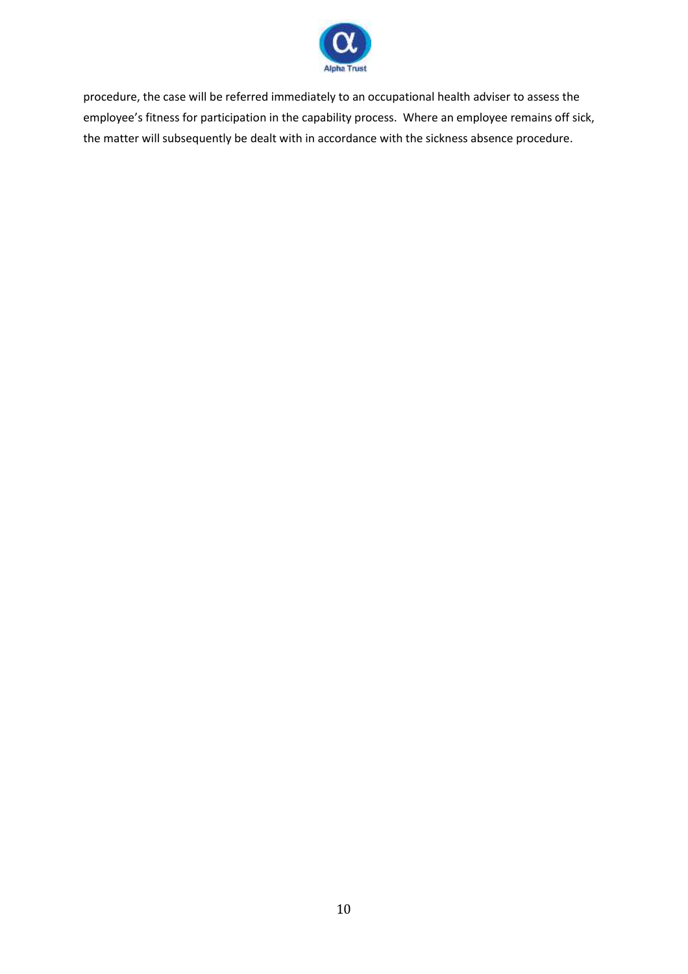

procedure, the case will be referred immediately to an occupational health adviser to assess the employee's fitness for participation in the capability process. Where an employee remains off sick, the matter will subsequently be dealt with in accordance with the sickness absence procedure.